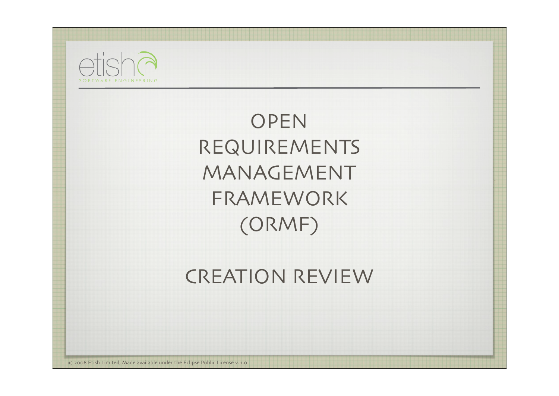

OPEN REQUIREMENTS MANAGEMENT FRAMEWORK (ORMF)

CREATION REVIEW

© 2008 Etish Limited, Made available under the Eclipse Public License v. 1.0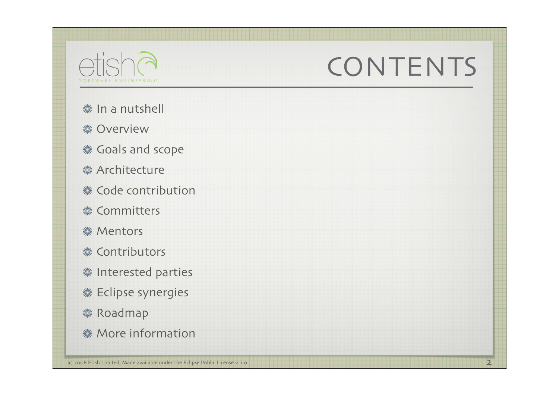

### **CONTENTS**

- **※In a nutshell**
- **※ Overview**
- **«Goals and scope**
- **※ Architecture**
- **※ Code contribution**
- **※ Committers**
- **※ Mentors**
- **※ Contributors**
- **※ Interested parties**
- *S* Eclipse synergies
- **※ Roadmap**
- **※ More information**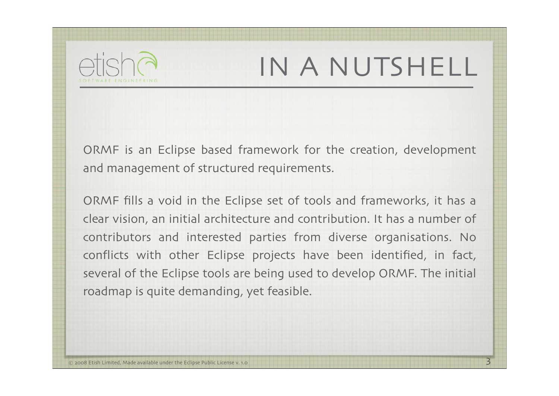

## IN A NUTSHELL

ORMF is an Eclipse based framework for the creation, development and management of structured requirements.

ORMF fills a void in the Eclipse set of tools and frameworks, it has a clear vision, an initial architecture and contribution. It has a number of contributors and interested parties from diverse organisations. No conflicts with other Eclipse projects have been identified, in fact, several of the Eclipse tools are being used to develop ORMF. The initial roadmap is quite demanding, yet feasible.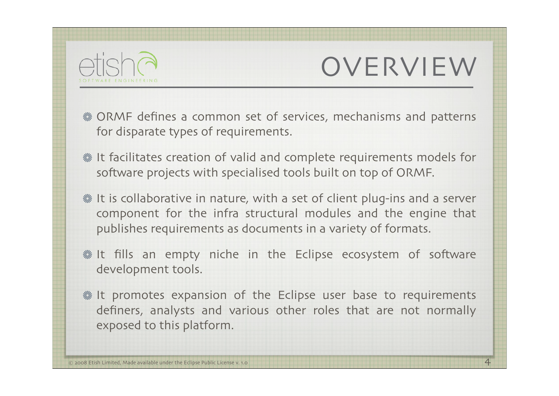

### OVERVIEW

- ORMF defines a common set of services, mechanisms and patterns for disparate types of requirements.
- It facilitates creation of valid and complete requirements models for software projects with specialised tools built on top of ORMF.
- **. It is collaborative in nature, with a set of client plug-ins and a server** component for the infra structural modules and the engine that publishes requirements as documents in a variety of formats.
- **※It fills an empty niche in the Eclipse ecosystem of software** development tools.
- **. It promotes expansion of the Eclipse user base to requirements** definers, analysts and various other roles that are not normally exposed to this platform.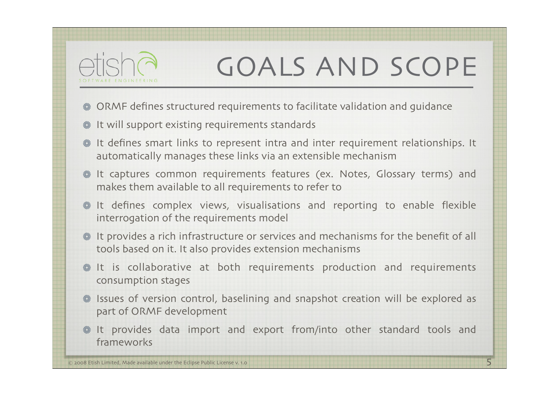

## GOALS AND SCOPE

- ORMF defines structured requirements to facilitate validation and guidance
- **※ It will support existing requirements standards**
- It defines smart links to represent intra and inter requirement relationships. It automatically manages these links via an extensible mechanism
- **& It captures common requirements features (ex. Notes, Glossary terms) and** makes them available to all requirements to refer to
- It defines complex views, visualisations and reporting to enable flexible interrogation of the requirements model
- It provides a rich infrastructure or services and mechanisms for the benefit of all tools based on it. It also provides extension mechanisms
- **It** is collaborative at both requirements production and requirements consumption stages
- Issues of version control, baselining and snapshot creation will be explored as part of ORMF development
- It provides data import and export from/into other standard tools and frameworks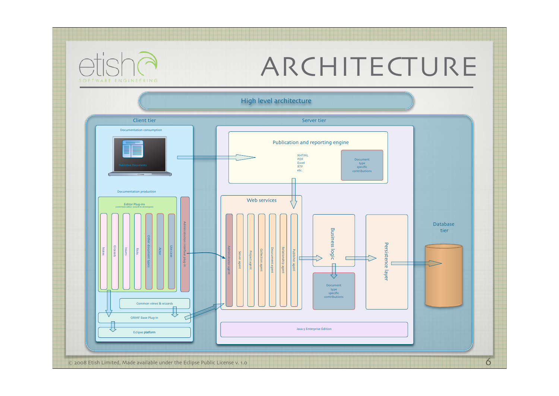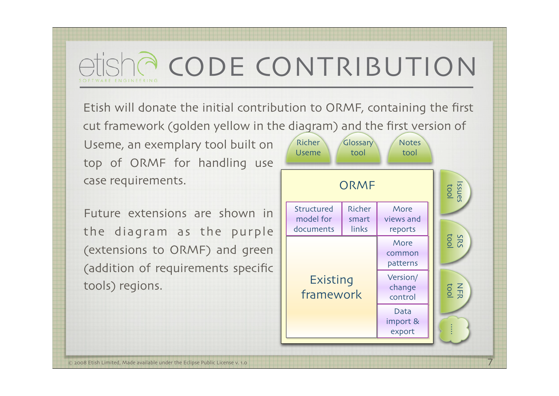# CODE CONTRIBUTION

Etish will donate the initial contribution to ORMF, containing the first cut framework (golden yellow in the diagram) and the first version of

Useme, an exemplary tool built on top of ORMF for handling use case requirements.

Future extensions are shown in the diagram as the purple (extensions to ORMF) and green (addition of requirements specific tools) regions.

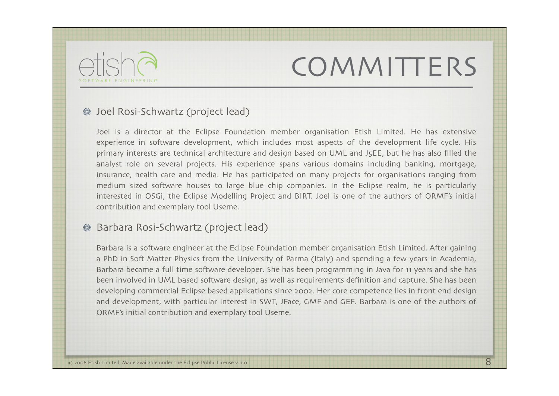### **COMMITTERS**



#### Joel Rosi-Schwartz (project lead)

Joel is a director at the Eclipse Foundation member organisation Etish Limited. He has extensive experience in software development, which includes most aspects of the development life cycle. His primary interests are technical architecture and design based on UML and J5EE, but he has also filled the analyst role on several projects. His experience spans various domains including banking, mortgage, insurance, health care and media. He has participated on many projects for organisations ranging from medium sized software houses to large blue chip companies. In the Eclipse realm, he is particularly interested in OSGi, the Eclipse Modelling Project and BIRT. Joel is one of the authors of ORMF's initial contribution and exemplary tool Useme.

#### Barbara Rosi-Schwartz (project lead)

Barbara is a software engineer at the Eclipse Foundation member organisation Etish Limited. After gaining a PhD in Soft Matter Physics from the University of Parma (Italy) and spending a few years in Academia, Barbara became a full time software developer. She has been programming in Java for 11 years and she has been involved in UML based software design, as well as requirements definition and capture. She has been developing commercial Eclipse based applications since 2002. Her core competence lies in front end design and development, with particular interest in SWT, JFace, GMF and GEF. Barbara is one of the authors of ORMF's initial contribution and exemplary tool Useme.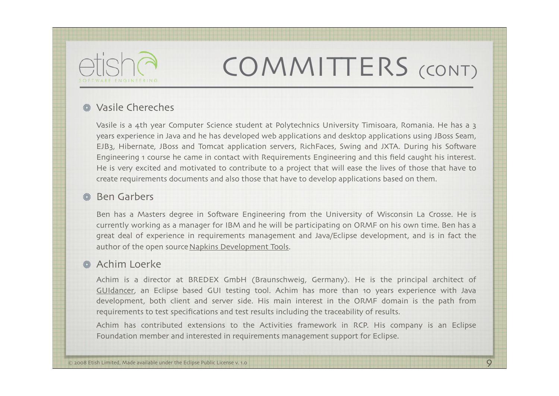

## COMMITTERS (CONT)

#### **※ Vasile Chereches**

Vasile is a 4th year Computer Science student at Polytechnics University Timisoara, Romania. He has a 3 years experience in Java and he has developed web applications and desktop applications using JBoss Seam, EJB3, Hibernate, JBoss and Tomcat application servers, RichFaces, Swing and JXTA. During his Software Engineering 1 course he came in contact with Requirements Engineering and this field caught his interest. He is very excited and motivated to contribute to a project that will ease the lives of those that have to create requirements documents and also those that have to develop applications based on them.

#### **& Ben Garbers**

Ben has a Masters degree in Software Engineering from the University of Wisconsin La Crosse. He is currently working as a manager for IBM and he will be participating on ORMF on his own time. Ben has a great deal of experience in requirements management and Java/Eclipse development, and is in fact the author of the open source Napkins Development Tools.

#### **《 Achim Loerke**

Achim is a director at BREDEX GmbH (Braunschweig, Germany). He is the principal architect of GUIdancer, an Eclipse based GUI testing tool. Achim has more than 10 years experience with Java development, both client and server side. His main interest in the ORMF domain is the path from requirements to test specifications and test results including the traceability of results.

Achim has contributed extensions to the Activities framework in RCP. His company is an Eclipse Foundation member and interested in requirements management support for Eclipse.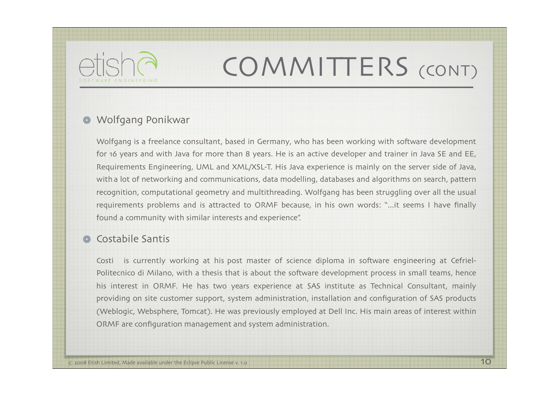

## COMMITTERS (CONT)

#### Wolfgang Ponikwar

Wolfgang is a freelance consultant, based in Germany, who has been working with software development for 16 years and with Java for more than 8 years. He is an active developer and trainer in Java SE and EE, Requirements Engineering, UML and XML/XSL-T. His Java experience is mainly on the server side of Java, witha lot of networking and communications, data modelling, databases and algorithms on search, pattern recognition, computational geometry and multithreading. Wolfgang has been struggling over all the usual requirements problems and is attracted to ORMF because, in his own words: "...it seems I have finally found a community with similar interests and experience".

#### Costabile Santis

Costi is currently working at his post master of science diploma in software engineering at Cefriel-Politecnico di Milano, with a thesis that is about the software development process in small teams, hence his interest in ORMF. He has two years experience at SAS institute as Technical Consultant, mainly providing on site customer support, system administration, installation and configuration of SAS products (Weblogic, Websphere, Tomcat). He was previously employed at Dell Inc. His main areas of interest within ORMF are configuration management and system administration.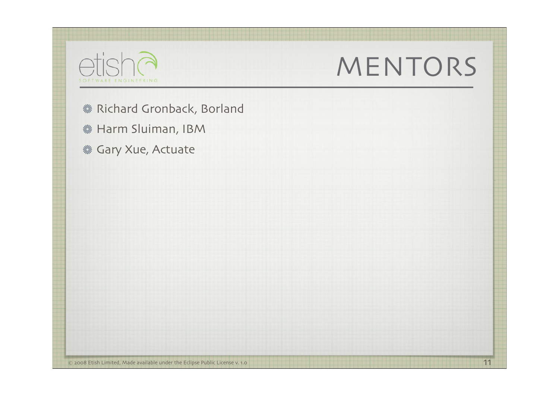

### MENTORS

- **※ Richard Gronback, Borland**
- **※ Harm Sluiman, IBM**
- *<br />
Sary Xue, Actuate*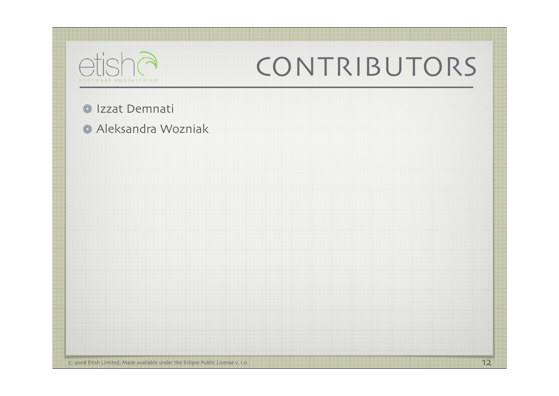| etisha<br><b>TWARE ENGINEERING</b>                    | CONTRIBUTORS |
|-------------------------------------------------------|--------------|
| <b>※ Izzat Demnati</b><br><b>※ Aleksandra Wozniak</b> |              |
|                                                       |              |
|                                                       |              |
|                                                       |              |
|                                                       |              |
|                                                       |              |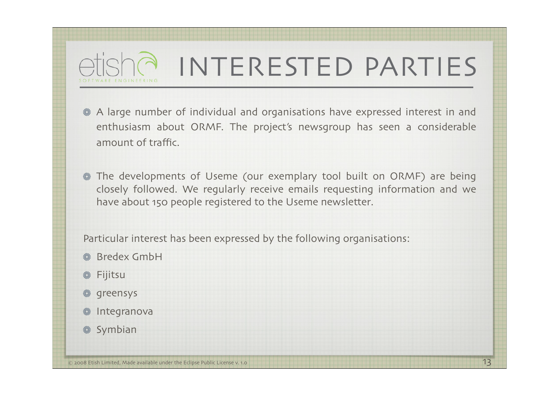### INTERESTED PARTIES

- A large number of individual and organisations have expressed interest in and enthusiasm about ORMF. The project's newsgroup has seen a considerable amount of traffic.
- The developments of Useme (our exemplary tool built on ORMF) are being closely followed. We regularly receive emails requesting information and we have about 150 people registered to the Useme newsletter.

Particular interest has been expressed by the following organisations:

- **& Bredex GmbH**
- **※ Fijitsu**
- **※ greensys**
- **※ Integranova**
- **※ Symbian**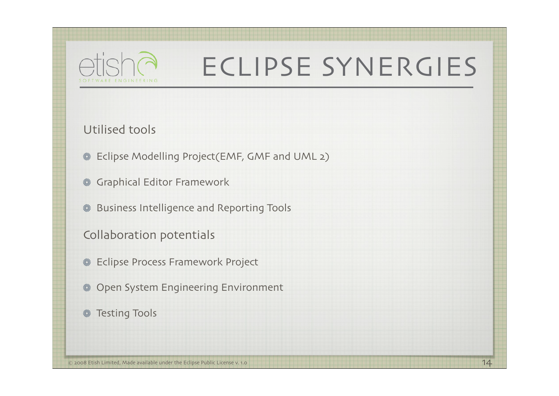

## ECLIPSE SYNERGIES

Utilised tools

- Eclipse Modelling Project(EMF, GMF and UML 2)
- Graphical Editor Framework
- Business Intelligence and Reporting Tools
- Collaboration potentials
- Eclipse Process Framework Project ▒
- **& Open System Engineering Environment**
- **※ Testing Tools**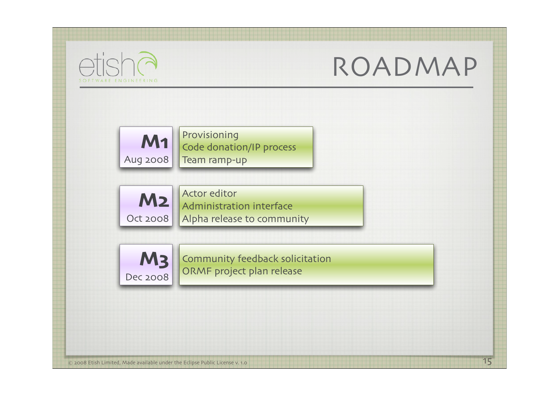

### ROADMAP

15



Provisioning Code donation/IP process Team ramp-up



Actor editor Administration interface Alpha release to community



Community feedback solicitation ORMF project plan release

© 2008 Etish Limited, Made available under the Eclipse Public License v. 1.0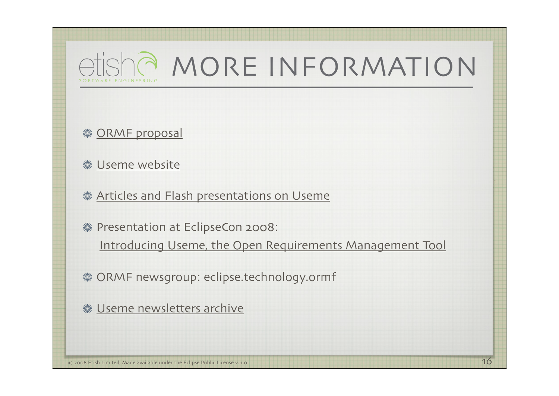

**※ ORMF proposal** 

**. Useme website** 

**Karticles and Flash presentations on Useme** 

**※ Presentation at EclipseCon 2008:** 

Introducing Useme, the Open Requirements Management Tool

ORMF newsgroup: eclipse.technology.ormf

**※ Useme newsletters archive**